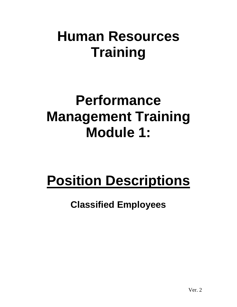## **Human Resources Training**

### **Performance Management Training Module 1:**

# **Position Descriptions**

### **Classified Employees**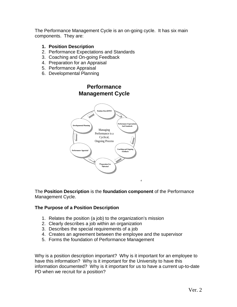The Performance Management Cycle is an on-going cycle. It has six main components. They are:

#### **1. Position Description**

- 2. Performance Expectations and Standards
- 3. Coaching and On-going Feedback
- 4. Preparation for an Appraisal
- 5. Performance Appraisal
- 6. Developmental Planning

#### **Performance Management Cycle**



The **Position Description** is the **foundation component** of the Performance Management Cycle.

#### **The Purpose of a Position Description**

- 1. Relates the position (a job) to the organization's mission
- 2. Clearly describes a job within an organization
- 3. Describes the special requirements of a job
- 4. Creates an agreement between the employee and the supervisor
- 5. Forms the foundation of Performance Management

Why is a position description important? Why is it important for an employee to have this information? Why is it important for the University to have this information documented? Why is it important for us to have a current up-to-date PD when we recruit for a position?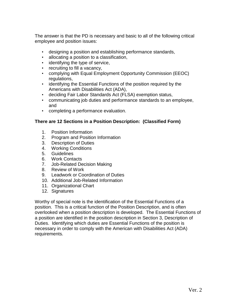The answer is that the PD is necessary and basic to all of the following critical employee and position issues:

- designing a position and establishing performance standards,
- allocating a position to a classification,
- identifying the type of service,
- recruiting to fill a vacancy,
- complying with Equal Employment Opportunity Commission (EEOC) regulations,
- identifying the Essential Functions of the position required by the Americans with Disabilities Act (ADA),
- deciding Fair Labor Standards Act (FLSA) exemption status,
- communicating job duties and performance standards to an employee, and
- completing a performance evaluation.

#### **There are 12 Sections in a Position Description: (Classified Form)**

- 1. Position Information
- 2. Program and Position Information
- 3. Description of Duties
- 4. Working Conditions
- 5. Guidelines
- 6. Work Contacts
- 7. Job-Related Decision Making
- 8. Review of Work
- 9. Leadwork or Coordination of Duties
- 10. Additional Job-Related Information
- 11. Organizational Chart
- 12. Signatures

Worthy of special note is the identification of the Essential Functions of a position. This is a critical function of the Position Description, and is often overlooked when a position description is developed. The Essential Functions of a position are identified in the position description in Section 3, Description of Duties. Identifying which duties are Essential Functions of the position is necessary in order to comply with the American with Disabilities Act (ADA) requirements.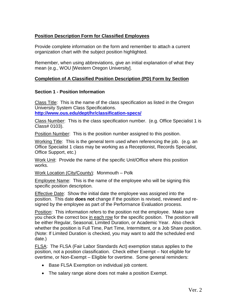#### **Position Description Form for Classified Employees**

Provide complete information on the form and remember to attach a current organization chart with the subject position highlighted.

Remember, when using abbreviations, give an initial explanation of what they mean (e.g., WOU [Western Oregon University].

#### **Completion of A Classified Position Description (PD) Form by Section**

#### **Section 1 - Position Information**

Class Title: This is the name of the class specification as listed in the Oregon University System Class Specifications.

**<http://www.ous.edu/dept/hr/classification-specs/>**

Class Number: This is the class specification number. (e.g. Office Specialist 1 is Class# 0103).

Position Number: This is the position number assigned to this position.

Working Title: This is the general term used when referencing the job. (e.g. an Office Specialist 1 class may be working as a Receptionist, Records Specialist, Office Support, etc.)

Work Unit: Provide the name of the specific Unit/Office where this position works.

Work Location (City/County): Monmouth – Polk

Employee Name: This is the name of the employee who will be signing this specific position description.

Effective Date: Show the initial date the employee was assigned into the position. This date **does not** change if the position is revised, reviewed and resigned by the employee as part of the Performance Evaluation process.

Position: This information refers to the position not the employee. Make sure you check the correct box in each row for the specific position. The position will be either Regular, Seasonal, Limited Duration, or Academic Year. Also check whether the position is Full Time, Part Time, Intermittent, or a Job Share position. (Note: If Limited Duration is checked, you may want to add the scheduled end date.)

FLSA : The FLSA (Fair Labor Standards Act) exemption status applies to the position, not a position classification. Check either Exempt – Not eligible for overtime, or Non-Exempt – Eligible for overtime. Some general reminders:

- Base FLSA Exemption on individual job content.
- The salary range alone does not make a position Exempt.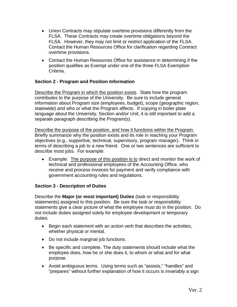- Union Contracts may stipulate overtime provisions differently from the FLSA. These Contracts may create overtime obligations beyond the FLSA. However, they may not limit or restrict application of the FLSA. Contact the Human Resources Office for clarification regarding Contract overtime provisions.
- Contact the Human Resources Office for assistance in determining if the position qualifies as Exempt under one of the three FLSA Exemption Criteria.

#### **Section 2 - Program and Position Information**

Describe the Program in which the position exists. State how the program contributes to the purpose of the University. Be sure to include general information about Program size (employees, budget), scope (geographic region, statewide) and who or what the Program affects. If copying in boiler plate language about the University, Section and/or Unit, it is still important to add a separate paragraph describing the Program(s).

Describe the purpose of the position, and how it functions within the Program. Briefly summarize why the position exists and its role in reaching your Program objectives (e.g., supportive, technical, supervisory, program manager). Think in terms of describing a job to a new friend. One or two sentences are sufficient to describe most jobs. For example:

• Example: The purpose of this position is to direct and monitor the work of technical and professional employees of the Accounting Office, who receive and process invoices for payment and verify compliance with government accounting rules and regulations.

#### **Section 3 - Description of Duties**

Describe the **Major (or most important) Duties** (task or responsibility statements) assigned to this position. Be sure the task or responsibility statements give a clear picture of what the employee must do in the position. Do not include duties assigned solely for employee development or temporary duties.

- Begin each statement with an action verb that describes the activities, whether physical or mental.
- Do not include marginal job functions.
- Be specific and complete. The duty statements should include what the employee does, how he or she does it, to whom or what and for what purpose.
- Avoid ambiguous terms. Using terms such as "assists," "handles" and "prepares" without further explanation of how it occurs is invariably a sign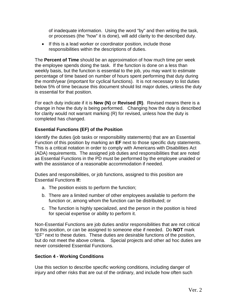of inadequate information. Using the word "by" and then writing the task, or processes (the "how" it is done), will add clarity to the described duty.

• If this is a lead worker or coordinator position, include those responsibilities within the descriptions of duties.

The **Percent of Time** should be an approximation of how much time per week the employee spends doing the task. If the function is done on a less than weekly basis, but the function is essential to the job, you may want to estimate percentage of time based on number of hours spent performing that duty during the month/year (important for cyclical functions). It is not necessary to list duties below 5% of time because this document should list major duties, unless the duty is essential for that position.

For each duty indicate if it is **New (N)** or **Revised (R)**. Revised means there is a change in how the duty is being performed. Changing how the duty is described for clarity would not warrant marking (R) for revised, unless how the duty is completed has changed.

#### **Essential Functions (EF) of the Position**

Identify the duties (job tasks or responsibility statements) that are an Essential Function of this position by marking an **EF** next to those specific duty statements. This is a critical notation in order to comply with Americans with Disabilities Act (ADA) requirements. The assigned job duties and responsibilities that are noted as Essential Functions in the PD must be performed by the employee unaided or with the assistance of a reasonable accommodation if needed.

Duties and responsibilities, or job functions, assigned to this position are Essential Functions **If:**

- a. The position exists to perform the function;
- b. There are a limited number of other employees available to perform the function or, among whom the function can be distributed; or
- c. The function is highly specialized, and the person in the position is hired for special expertise or ability to perform it.

Non-Essential Functions are job duties and/or responsibilities that are not critical to this position, or can be assigned to someone else if needed. Do **NOT** mark "EF" next to these duties. These duties are desirable functions of the position, but do not meet the above criteria. Special projects and other ad hoc duties are never considered Essential Functions.

#### **Section 4 - Working Conditions**

Use this section to describe specific working conditions, including danger of injury and other risks that are out of the ordinary, and include how often such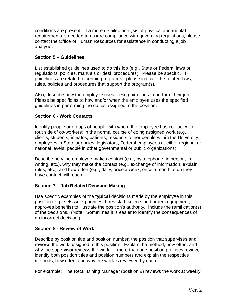conditions are present. If a more detailed analysis of physical and mental requirements is needed to assure compliance with governing regulations, please contact the Office of Human Resources for assistance in conducting a job analysis.

#### **Section 5 – Guidelines**

List established guidelines used to do this job (e.g., State or Federal laws or regulations, policies, manuals or desk procedures). Please be specific. If guidelines are related to certain program(s), please indicate the related laws, rules, policies and procedures that support the program(s).

Also, describe how the employee uses these guidelines to perform their job. Please be specific as to how and/or when the employee uses the specified guidelines in performing the duties assigned to the position.

#### **Section 6 - Work Contacts**

Identify people or groups of people with whom the employee has contact with (out side of co-workers) in the normal course of doing assigned work (e.g., clients, students, inmates, patients, residents, other people within the University, employees in State agencies, legislators, Federal employees at either regional or national levels, people in other governmental or public organizations).

Describe how the employee makes contact (e.g., by telephone, in person, in writing, etc.), why they make the contact (e.g., exchange of information, explain rules, etc.), and how often (e.g., daily, once a week, once a month, etc.) they have contact with each.

#### **Section 7 – Job Related Decision Making**

Use specific examples of the **typical** decisions made by the employee in this position (e.g., sets work priorities, hires staff, selects and orders equipment, approves benefits) to illustrate the position's authority. Include the ramification(s) of the decisions. (Note: Sometimes it is easier to identify the consequences of an incorrect decision.)

#### **Section 8 - Review of Work**

Describe by position title and position number, the position that supervises and reviews the work assigned to this position. Explain the method, how often, and why the supervisor reviews the work. If more than one position provides review, identify both position titles and position numbers and explain the respective methods, how often, and why the work is reviewed by each.

For example: The Retail Dining Manager (position #) reviews the work at weekly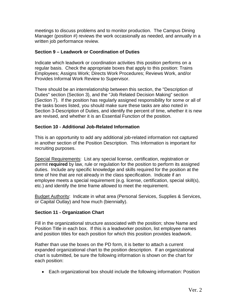meetings to discuss problems and to monitor production. The Campus Dining Manager (position #) reviews the work occasionally as needed, and annually in a written job performance review.

#### **Section 9 – Leadwork or Coordination of Duties**

Indicate which leadwork or coordination activities this position performs on a regular basis. Check the appropriate boxes that apply to this position: Trains Employees; Assigns Work; Directs Work Procedures; Reviews Work, and/or Provides Informal Work Review to Supervisor.

There should be an interrelationship between this section, the "Description of Duties" section (Section 3), and the "Job Related Decision Making" section (Section 7). If the position has regularly assigned responsibility for some or all of the tasks boxes listed, you should make sure these tasks are also noted in Section 3-Description of Duties, and identify the percent of time, whether it is new are revised, and whether it is an Essential Function of the position.

#### **Section 10 - Additional Job-Related Information**

This is an opportunity to add any additional job-related information not captured in another section of the Position Description. This Information is important for recruiting purposes.

Special Requirements: List any special license, certification, registration or permit **required** by law, rule or regulation for the position to perform its assigned duties. Include any specific knowledge and skills required for the position at the time of hire that are not already in the class specification. Indicate if an employee meets a special requirement (e.g. license, certification, special skill(s), etc.) and identify the time frame allowed to meet the requirement.

Budget Authority: Indicate in what area (Personal Services, Supplies & Services, or Capital Outlay) and how much (biennially).

#### **Section 11 - Organization Chart**

Fill in the organizational structure associated with the position; show Name and Position Title in each box. If this is a leadworker position, list employee names and position titles for each position for which this position provides leadwork.

Rather than use the boxes on the PD form, it is better to attach a current expanded organizational chart to the position description. If an organizational chart is submitted, be sure the following information is shown on the chart for each position:

• Each organizational box should include the following information: Position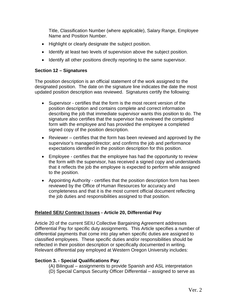Title, Classification Number (where applicable), Salary Range, Employee Name and Position Number.

- Highlight or clearly designate the subject position.
- Identify at least two levels of supervision above the subject position.
- Identify all other positions directly reporting to the same supervisor.

#### **Section 12 – Signatures**

The position description is an official statement of the work assigned to the designated position. The date on the signature line indicates the date the most updated position description was reviewed. Signatures certify the following:

- Supervisor certifies that the form is the most recent version of the position description and contains complete and correct information describing the job that immediate supervisor wants this position to do. The signature also certifies that the supervisor has reviewed the completed form with the employee and has provided the employee a completed signed copy of the position description.
- Reviewer certifies that the form has been reviewed and approved by the supervisor's manager/director; and confirms the job and performance expectations identified in the position description for this position.
- Employee certifies that the employee has had the opportunity to review the form with the supervisor, has received a signed copy and understands that it reflects the job the employee is expected to perform while assigned to the position.
- Appointing Authority certifies that the position description form has been reviewed by the Office of Human Resources for accuracy and completeness and that it is the most current official document reflecting the job duties and responsibilities assigned to that position.

#### **Related SEIU Contract Issues - Article 20, Differential Pay**

Article 20 of the current SEIU Collective Bargaining Agreement addresses Differential Pay for specific duty assignments. This Article specifies a number of differential payments that come into play when specific duties are assigned to classified employees. These specific duties and/or responsibilities should be reflected in their position description or specifically documented in writing. Relevant differential pay employed at Western Oregon University includes:

#### **Section 3. - Special Qualifications Pay**:

- (A) Bilingual assignments to provide Spanish and ASL interpretation
- (D) Special Campus Security Officer Differential assigned to serve as